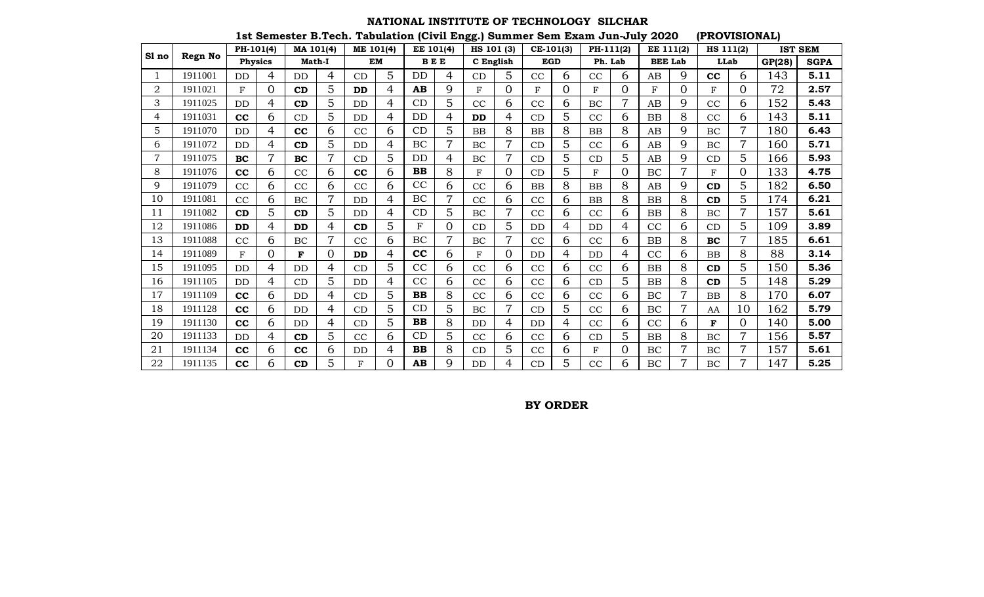#### **NATIONAL INSTITUTE OF TECHNOLOGY SILCHAR**

**1st Semester B.Tech. Tabulation (Civil Engg.) Summer Sem Exam Jun-July 2020 (PROVISIONAL)**

|       |         | PH-101(4)      |          | MA 101(4)     |                | ME 101(4) |           |           | EE 101(4)  | HS 101 (3) |                | CE-101(3)  |          | PH-111(2)    |   | EE 111(2)      |   | HS 111(2) |                |        | <b>IST SEM</b> |
|-------|---------|----------------|----------|---------------|----------------|-----------|-----------|-----------|------------|------------|----------------|------------|----------|--------------|---|----------------|---|-----------|----------------|--------|----------------|
| Sl no | Regn No | <b>Physics</b> |          | <b>Math-I</b> |                |           | <b>EM</b> |           | <b>BEE</b> | C English  |                | <b>EGD</b> |          | Ph. Lab      |   | <b>BEE Lab</b> |   | LLab      |                | GP(28) | <b>SGPA</b>    |
|       | 1911001 | DD             | 4        | <b>DD</b>     | 4              | CD        | 5         | DD        | 4          | CD         | 5              | CC         | 6        | CC           | 6 | AB             | 9 | cc        | 6              | 143    | 5.11           |
| 2     | 1911021 | F              | $\Omega$ | CD            | 5              | <b>DD</b> | 4         | AB        | 9          | F          | $\Omega$       | F          | $\Omega$ | $\mathbf{F}$ | 0 | F              | 0 | F         | $\overline{0}$ | 72     | 2.57           |
| 3     | 1911025 | DD             | 4        | CD            | 5              | DD        | 4         | CD        | 5          | CC         | 6              | CC         | 6        | BC           | 7 | AB             | 9 | CC        | 6              | 152    | 5.43           |
| 4     | 1911031 | cc             | 6        | CD            | 5              | DD        | 4         | DD        | 4          | <b>DD</b>  | 4              | CD         | 5        | CC           | 6 | <b>BB</b>      | 8 | CC        | 6              | 143    | 5.11           |
| 5     | 1911070 | DD             | 4        | cc            | 6              | CC        | 6         | CD        | 5          | <b>BB</b>  | 8              | <b>BB</b>  | 8        | <b>BB</b>    | 8 | AB             | 9 | BC        | 7              | 180    | 6.43           |
| 6     | 1911072 | DD             | 4        | CD            | 5              | DD        | 4         | BC        | 7          | BC         | 7              | CD         | 5        | CC           | 6 | AB             | 9 | BC        | 7              | 160    | 5.71           |
| 7     | 1911075 | <b>BC</b>      | 7        | <b>BC</b>     | 7              | CD        | 5         | DD        | 4          | BC         | 7              | CD         | 5        | CD           | 5 | AB             | 9 | CD        | 5              | 166    | 5.93           |
| 8     | 1911076 | cc             | 6        | CC            | 6              | cc        | 6         | <b>BB</b> | 8          | F          | $\Omega$       | CD         | 5        | F            | 0 | BC             | 7 | F         | $\overline{0}$ | 133    | 4.75           |
| 9     | 1911079 | CC             | 6        | CC            | 6              | CC        | 6         | CC        | 6          | CC         | 6              | <b>BB</b>  | 8        | <b>BB</b>    | 8 | AB             | 9 | CD        | 5              | 182    | 6.50           |
| 10    | 1911081 | CC             | 6        | BC            | $\overline{7}$ | DD        | 4         | BC        | 7          | CC         | 6              | CC         | 6        | <b>BB</b>    | 8 | <b>BB</b>      | 8 | CD        | 5              | 174    | 6.21           |
| 11    | 1911082 | CD             | 5        | CD            | 5              | DD        | 4         | CD        | 5          | BC         | $\overline{7}$ | CC         | 6        | CC           | 6 | <b>BB</b>      | 8 | BC        | $\overline{7}$ | 157    | 5.61           |
| 12    | 1911086 | <b>DD</b>      | 4        | <b>DD</b>     | 4              | CD        | 5         | F         | 0          | CD         | 5              | DD         | 4        | DD           | 4 | CC             | 6 | CD        | 5              | 109    | 3.89           |
| 13    | 1911088 | CC             | 6        | BC            | 7              | CC        | 6         | BC        |            | BC         | 7              | CC         | 6        | CC           | 6 | <b>BB</b>      | 8 | <b>BC</b> | 7              | 185    | 6.61           |
| 14    | 1911089 | F              | 0        | F             | $\overline{0}$ | <b>DD</b> | 4         | cc        | 6          | $_{\rm F}$ | $\overline{0}$ | <b>DD</b>  | 4        | DD           | 4 | CC             | 6 | BB        | 8              | 88     | 3.14           |
| 15    | 1911095 | DD             | 4        | <b>DD</b>     | 4              | CD        | 5         | CC        | 6          | CC         | 6              | CC         | 6        | CC           | 6 | <b>BB</b>      | 8 | CD        | 5              | 150    | 5.36           |
| 16    | 1911105 | DD             | 4        | CD            | 5              | DD        | 4         | CC        | 6          | CC         | 6              | CC         | 6        | CD           | 5 | <b>BB</b>      | 8 | CD        | 5              | 148    | 5.29           |
| 17    | 1911109 | cc             | 6        | <b>DD</b>     | 4              | CD        | 5         | <b>BB</b> | 8          | CC         | 6              | CC         | 6        | CC           | 6 | BC             | 7 | <b>BB</b> | 8              | 170    | 6.07           |
| 18    | 1911128 | cc             | 6        | DD            | 4              | CD        | 5         | CD        | 5          | BC         | 7              | CD         | 5        | CC           | 6 | $\rm BC$       | 7 | AA        | 10             | 162    | 5.79           |
| 19    | 1911130 | cc             | 6        | <b>DD</b>     | 4              | CD        | 5         | <b>BB</b> | 8          | <b>DD</b>  | $\overline{4}$ | DD         | 4        | CC           | 6 | CC             | 6 | F         | $\overline{0}$ | 140    | 5.00           |
| 20    | 1911133 | DD             | 4        | CD            | 5              | CC        | 6         | CD        | 5          | CC         | 6              | CC         | 6        | CD           | 5 | <b>BB</b>      | 8 | BC        | 7              | 156    | 5.57           |
| 21    | 1911134 | cc             | 6        | cc            | 6              | DD        | 4         | <b>BB</b> | 8          | CD         | 5              | CC         | 6        | $\mathbf F$  | O | BC             |   | BC        | 7              | 157    | 5.61           |
| 22    | 1911135 | cc             | 6        | CD            | 5              | F         | 0         | AB        | q          | DD         | 4              | CD         | 5        | CC           | 6 | BC             |   | BC        | 7              | 147    | 5.25           |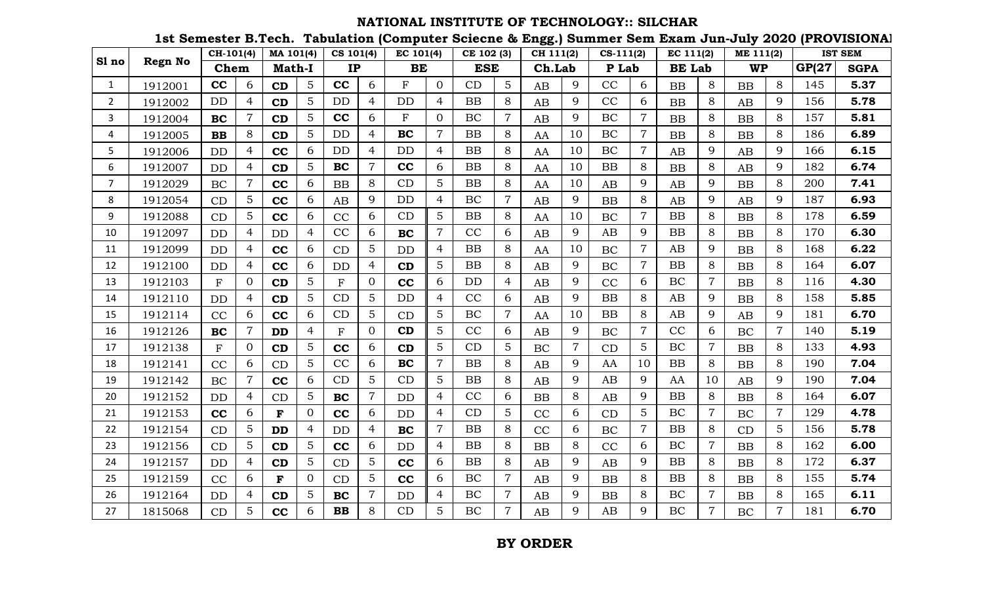## **NATIONAL INSTITUTE OF TECHNOLOGY:: SILCHAR**

**1st Semester B.Tech. Tabulation (Computer Sciecne & Engg.) Summer Sem Exam Jun-July 2020 (PROVISIONAL)**

|                |         | CH-101(4)    |                | MA 101(4)     |                | CS 101(4)    |                | EC 101(4)   |                | CE 102 (3) |                | CH 111(2) |                | $CS-111(2)$ |                | EC 111(2)     |                | ME 111(2) |                |              | <b>IST SEM</b> |
|----------------|---------|--------------|----------------|---------------|----------------|--------------|----------------|-------------|----------------|------------|----------------|-----------|----------------|-------------|----------------|---------------|----------------|-----------|----------------|--------------|----------------|
| Sl no          | Regn No | Chem         |                | <b>Math-I</b> |                | <b>IP</b>    |                | <b>BE</b>   |                | <b>ESE</b> |                | Ch.Lab    |                | P Lab       |                | <b>BE</b> Lab |                | <b>WP</b> |                | <b>GP(27</b> | <b>SGPA</b>    |
| $\mathbf{1}$   | 1912001 | cc           | 6              | CD            | 5              | cc           | 6              | F           | $\Omega$       | CD         | 5              | AB        | 9              | CC          | 6              | BB            | 8              | <b>BB</b> | 8              | 145          | 5.37           |
| $\overline{2}$ | 1912002 | <b>DD</b>    | 4              | CD            | 5              | DD           | $\overline{4}$ | <b>DD</b>   | $\overline{4}$ | BB         | 8              | AB        | 9              | CC          | 6              | <b>BB</b>     | 8              | AB        | 9              | 156          | 5.78           |
| 3              | 1912004 | <b>BC</b>    | $\overline{7}$ | CD            | 5              | cc           | 6              | $\mathbf F$ | $\overline{0}$ | BC         | $\overline{7}$ | AB        | 9              | BC          | $\overline{7}$ | BB            | 8              | <b>BB</b> | 8              | 157          | 5.81           |
| 4              | 1912005 | $\mathbf{B}$ | 8              | CD            | 5              | <b>DD</b>    | $\overline{4}$ | <b>BC</b>   | $\overline{7}$ | BB         | 8              | AA        | 10             | BC          | $\overline{7}$ | BB            | 8              | <b>BB</b> | 8              | 186          | 6.89           |
| 5              | 1912006 | <b>DD</b>    | 4              | cc            | 6              | <b>DD</b>    | $\overline{4}$ | DD          | $\overline{4}$ | <b>BB</b>  | 8              | AA        | 10             | BC          | $\overline{7}$ | AB            | 9              | AB        | 9              | 166          | 6.15           |
| 6              | 1912007 | DD           | 4              | CD            | 5              | <b>BC</b>    | $\overline{7}$ | cc          | 6              | <b>BB</b>  | 8              | AA        | 10             | BB          | 8              | <b>BB</b>     | 8              | AB        | 9              | 182          | 6.74           |
| $\overline{7}$ | 1912029 | $\rm BC$     | $\overline{7}$ | cc            | 6              | <b>BB</b>    | 8              | CD          | 5              | BB         | 8              | AA        | 10             | AB          | 9              | AB            | 9              | <b>BB</b> | 8              | 200          | 7.41           |
| 8              | 1912054 | CD           | 5              | cc            | 6              | AB           | 9              | <b>DD</b>   | $\overline{4}$ | BC         | $\overline{7}$ | AB        | 9              | BB          | 8              | AB            | 9              | AB        | 9              | 187          | 6.93           |
| 9              | 1912088 | CD           | 5              | cc            | 6              | CC           | 6              | CD          | 5              | BB         | 8              | AA        | 10             | <b>BC</b>   | $\overline{7}$ | BB            | 8              | <b>BB</b> | 8              | 178          | 6.59           |
| 10             | 1912097 | DD           | 4              | <b>DD</b>     | $\overline{4}$ | CC           | 6              | <b>BC</b>   | $\overline{7}$ | CC         | 6              | AB        | 9              | AB          | 9              | BB            | 8              | <b>BB</b> | 8              | 170          | 6.30           |
| 11             | 1912099 | DD           | 4              | cc            | 6              | CD           | 5              | <b>DD</b>   | 4              | BB         | 8              | AA        | 10             | <b>BC</b>   | $\overline{7}$ | AB            | 9              | <b>BB</b> | 8              | 168          | 6.22           |
| 12             | 1912100 | DD           | 4              | cc            | 6              | <b>DD</b>    | $\overline{4}$ | CD          | 5              | <b>BB</b>  | 8              | AB        | 9              | <b>BC</b>   | $\overline{7}$ | BB            | 8              | <b>BB</b> | 8              | 164          | 6.07           |
| 13             | 1912103 | $\mathbf{F}$ | $\Omega$       | CD            | 5              | $\mathbf F$  | $\overline{0}$ | cc          | 6              | <b>DD</b>  | 4              | AB        | 9              | CC          | 6              | BC            | 7              | <b>BB</b> | 8              | 116          | 4.30           |
| 14             | 1912110 | <b>DD</b>    | 4              | CD            | 5              | CD           | $\overline{5}$ | DD          | $\overline{4}$ | CC         | 6              | AB        | 9              | BB          | 8              | AB            | 9              | <b>BB</b> | 8              | 158          | 5.85           |
| 15             | 1912114 | CC           | 6              | cc            | 6              | CD           | 5              | CD          | 5              | BC         | $\overline{7}$ | AA        | 10             | BB          | 8              | AB            | 9              | AB        | 9              | 181          | 6.70           |
| 16             | 1912126 | BC           | $\overline{7}$ | <b>DD</b>     | 4              | $\mathbf{F}$ | $\overline{0}$ | CD          | 5              | CC         | 6              | AB        | 9              | BC          | $\overline{7}$ | CC            | 6              | BC        | $\overline{7}$ | 140          | 5.19           |
| 17             | 1912138 | F            | $\Omega$       | CD            | 5              | cc           | 6              | CD          | 5              | CD         | 5              | BC        | $\overline{7}$ | CD          | 5              | <b>BC</b>     | $\overline{7}$ | <b>BB</b> | 8              | 133          | 4.93           |
| 18             | 1912141 | CC           | 6              | CD            | 5              | CC           | 6              | <b>BC</b>   | $\overline{7}$ | <b>BB</b>  | 8              | AB        | 9              | AA          | 10             | BB            | 8              | <b>BB</b> | 8              | 190          | 7.04           |
| 19             | 1912142 | BC           | 7              | cc            | 6              | CD           | 5              | CD          | 5              | <b>BB</b>  | 8              | AB        | 9              | AB          | 9              | AA            | 10             | AB        | 9              | 190          | 7.04           |
| 20             | 1912152 | <b>DD</b>    | 4              | CD            | 5              | <b>BC</b>    | $\overline{7}$ | <b>DD</b>   | $\overline{4}$ | CC         | 6              | <b>BB</b> | 8              | AB          | 9              | BB            | 8              | <b>BB</b> | 8              | 164          | 6.07           |
| 21             | 1912153 | cc           | 6              | $\mathbf F$   | $\overline{0}$ | cc           | 6              | <b>DD</b>   | $\overline{4}$ | CD         | 5              | CC        | 6              | CD          | 5              | BC            | $\overline{7}$ | BC        | $\overline{7}$ | 129          | 4.78           |
| 22             | 1912154 | CD           | 5              | <b>DD</b>     | $\overline{4}$ | <b>DD</b>    | $\overline{4}$ | <b>BC</b>   | $\overline{7}$ | <b>BB</b>  | 8              | CC        | 6              | <b>BC</b>   | $\overline{7}$ | BB            | 8              | CD        | 5 <sup>5</sup> | 156          | 5.78           |
| 23             | 1912156 | CD           | 5              | CD            | $\overline{5}$ | cc           | 6              | <b>DD</b>   | $\overline{4}$ | <b>BB</b>  | 8              | <b>BB</b> | 8              | CC          | 6              | BC            | 7              | <b>BB</b> | 8              | 162          | 6.00           |
| 24             | 1912157 | DD           | 4              | CD            | 5              | CD           | 5              | cc          | 6              | <b>BB</b>  | 8              | AB        | 9              | AB          | 9              | BB            | 8              | <b>BB</b> | 8              | 172          | 6.37           |
| 25             | 1912159 | CC           | 6              | ${\bf F}$     | $\overline{0}$ | CD           | $\overline{5}$ | cc          | 6              | BC         | $\overline{7}$ | AB        | 9              | <b>BB</b>   | 8              | <b>BB</b>     | 8              | <b>BB</b> | 8              | 155          | 5.74           |
| 26             | 1912164 | DD           | 4              | CD            | 5              | <b>BC</b>    | $\overline{7}$ | DD          | $\overline{4}$ | BC         | $\overline{7}$ | AB        | 9              | BB          | 8              | BC            | 7              | <b>BB</b> | 8              | 165          | 6.11           |
| 27             | 1815068 | CD           | 5              | cc            | 6              | $\mathbf{B}$ | 8              | CD          | 5              | $\rm BC$   | $\overline{7}$ | AB        | 9              | AB          | 9              | BC            | $\overline{7}$ | <b>BC</b> | $\overline{7}$ | 181          | 6.70           |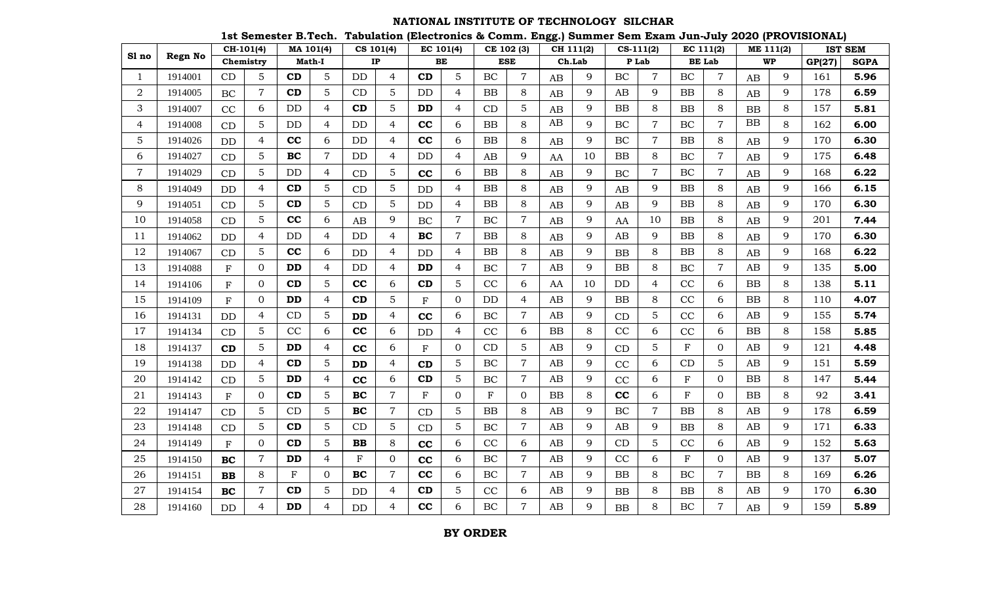#### **NATIONAL INSTITUTE OF TECHNOLOGY SILCHAR**

**1st Semester B.Tech. Tabulation (Electronics & Comm. Engg.) Summer Sem Exam Jun-July 2020 (PROVISIONAL)**

|                  |                | CH-101(4)    |                |            | MA 101(4)      | CS 101(4) |                | EC 101(4)               |                  | CE 102 (3)  |                | oo ,<br>CH 111(2) |    | $CS-111(2)$ |                |              | EC 111(2)      | ME 111(2) |   |        | <b>IST SEM</b> |
|------------------|----------------|--------------|----------------|------------|----------------|-----------|----------------|-------------------------|------------------|-------------|----------------|-------------------|----|-------------|----------------|--------------|----------------|-----------|---|--------|----------------|
| Sl no            | <b>Regn No</b> | Chemistry    |                |            | Math-I         | IP        |                | BE                      |                  | <b>ESE</b>  |                | Ch.Lab            |    |             | P Lab          |              | <b>BE</b> Lab  | <b>WP</b> |   | GP(27) | <b>SGPA</b>    |
| 1                | 1914001        | CD           | $\overline{5}$ | CD         | 5              | DD        | 4              | CD                      | 5                | BC          | $\overline{7}$ | AB                | 9  | <b>BC</b>   | $\overline{7}$ | BC           | $\overline{7}$ | AB        | 9 | 161    | 5.96           |
| 2                | 1914005        | <b>BC</b>    | $\overline{7}$ | CD         | 5              | CD        | 5              | DD                      | $\overline{4}$   | <b>BB</b>   | 8              | AB                | 9  | AB          | 9              | <b>BB</b>    | 8              | AB        | 9 | 178    | 6.59           |
| 3                | 1914007        | CC           | 6              | <b>DD</b>  | $\overline{4}$ | CD        | 5              | <b>DD</b>               | $\overline{4}$   | CD          | 5              | AB                | 9  | <b>BB</b>   | 8              | BB           | 8              | <b>BB</b> | 8 | 157    | 5.81           |
| 4                | 1914008        | CD           | 5              | DD         | $\overline{4}$ | DD        | $\overline{4}$ | cc                      | 6                | <b>BB</b>   | 8              | AB                | 9  | BC          | 7              | BC           | $\sqrt{ }$     | <b>BB</b> | 8 | 162    | 6.00           |
| 5                | 1914026        | DD           | 4              | cc         | 6              | DD        | 4              | cc                      | 6                | <b>BB</b>   | 8              | AB                | 9  | <b>BC</b>   | $\overline{7}$ | <b>BB</b>    | 8              | AB        | 9 | 170    | 6.30           |
| 6                | 1914027        | CD           | 5              | <b>BC</b>  | $\overline{7}$ | <b>DD</b> | 4              | <b>DD</b>               | $\overline{4}$   | AB          | 9              | AA                | 10 | <b>BB</b>   | 8              | BC           | $\overline{7}$ | AB        | 9 | 175    | 6.48           |
| $\boldsymbol{7}$ | 1914029        | CD           | 5              | DD         | $\overline{4}$ | CD        | $\mathbf 5$    | cc                      | 6                | <b>BB</b>   | 8              | AB                | 9  | <b>BC</b>   | $\overline{7}$ | BC           | $\sqrt{ }$     | AB        | 9 | 168    | 6.22           |
| 8                | 1914049        | DD           | 4              | CD         | 5              | CD        | $\overline{5}$ | DD                      | $\overline{4}$   | <b>BB</b>   | 8              | AB                | 9  | AB          | 9              | <b>BB</b>    | 8              | AB        | 9 | 166    | 6.15           |
| 9                | 1914051        | CD           | 5              | CD         | 5              | CD        | 5              | DD                      | 4                | <b>BB</b>   | 8              | AB                | 9  | AB          | 9              | <b>BB</b>    | 8              | AB        | 9 | 170    | 6.30           |
| 10               | 1914058        | CD           | 5              | cc         | 6              | AB        | 9              | BC                      | $\overline{7}$   | BC          | $\overline{7}$ | AB                | 9  | AA          | 10             | <b>BB</b>    | 8              | AB        | 9 | 201    | 7.44           |
| 11               | 1914062        | DD           | 4              | DD         | $\overline{4}$ | DD        | $\overline{4}$ | BC                      | $\overline{7}$   | <b>BB</b>   | 8              | AB                | 9  | AB          | 9              | <b>BB</b>    | 8              | AB        | 9 | 170    | 6.30           |
| 12               | 1914067        | CD           | 5              | cc         | 6              | DD        | $\overline{4}$ | <b>DD</b>               | 4                | <b>BB</b>   | 8              | AB                | 9  | BB          | 8              | <b>BB</b>    | 8              | AB        | 9 | 168    | 6.22           |
| 13               | 1914088        | $\mathbf F$  | $\Omega$       | <b>DD</b>  | $\overline{4}$ | <b>DD</b> | 4              | <b>DD</b>               | $\overline{4}$   | <b>BC</b>   | $\overline{7}$ | AB                | 9  | <b>BB</b>   | 8              | BC           | $\overline{7}$ | AB        | 9 | 135    | 5.00           |
| 14               | 1914106        | $\mathbf{F}$ | $\mathbf{0}$   | CD         | 5              | cc        | 6              | CD                      | $\overline{5}$   | CC          | 6              | AA                | 10 | DD          | $\overline{4}$ | CC           | 6              | <b>BB</b> | 8 | 138    | 5.11           |
| 15               | 1914109        | F            | $\mathbf{0}$   | <b>DD</b>  | $\overline{4}$ | CD        | $\mathbf 5$    | $\mathbf F$             | $\overline{0}$   | <b>DD</b>   | $\overline{4}$ | AB                | 9  | BB          | 8              | CC           | 6              | <b>BB</b> | 8 | 110    | 4.07           |
| 16               | 1914131        | <b>DD</b>    | 4              | CD         | 5              | <b>DD</b> | $\overline{4}$ | cc                      | 6                | BC          | $\overline{7}$ | AB                | 9  | CD          | 5              | CC           | 6              | AB        | 9 | 155    | 5.74           |
| 17               | 1914134        | CD           | $\overline{5}$ | CC         | 6              | cc        | 6              | <b>DD</b>               | $\overline{4}$   | CC          | 6              | <b>BB</b>         | 8  | CC          | 6              | CC           | 6              | <b>BB</b> | 8 | 158    | 5.85           |
| 18               | 1914137        | CD           | $\overline{5}$ | <b>DD</b>  | $\overline{4}$ | cc        | 6              | $\overline{\mathrm{F}}$ | $\boldsymbol{0}$ | CD          | 5              | AB                | 9  | CD          | 5              | $\mathbf{F}$ | $\mathbf{O}$   | AB        | 9 | 121    | 4.48           |
| 19               | 1914138        | DD           | 4              | CD         | 5              | <b>DD</b> | $\overline{4}$ | CD                      | 5                | <b>BC</b>   | $\overline{7}$ | AB                | 9  | CC          | 6              | CD           | 5              | AB        | 9 | 151    | 5.59           |
| 20               | 1914142        | CD           | 5              | <b>DD</b>  | $\overline{4}$ | cc        | 6              | CD                      | 5                | BC          | $\overline{7}$ | AB                | 9  | CC          | 6              | ${\bf F}$    | $\overline{0}$ | <b>BB</b> | 8 | 147    | 5.44           |
| 21               | 1914143        | $\mathbf{F}$ | $\mathbf 0$    | CD         | 5              | <b>BC</b> | $\overline{7}$ | $\mathbf F$             | $\mathbf{0}$     | $\mathbf F$ | $\overline{0}$ | BB                | 8  | cc          | 6              | ${\bf F}$    | $\overline{0}$ | <b>BB</b> | 8 | 92     | 3.41           |
| 22               | 1914147        | CD           | 5              | CD         | 5              | BC        | $\overline{7}$ | CD                      | $\overline{5}$   | BB          | 8              | AB                | 9  | BC          | $\overline{7}$ | <b>BB</b>    | 8              | AB        | 9 | 178    | 6.59           |
| 23               | 1914148        | CD           | 5              | CD         | 5              | CD        | 5              | CD                      | 5                | BC          | $\overline{7}$ | AB                | 9  | AB          | 9              | <b>BB</b>    | 8              | AB        | 9 | 171    | 6.33           |
| 24               | 1914149        | $\mathbf{F}$ | $\Omega$       | CD         | 5              | <b>BB</b> | 8              | cc                      | 6                | CC          | 6              | AB                | 9  | CD          | 5              | CC           | 6              | AB        | 9 | 152    | 5.63           |
| 25               | 1914150        | <b>BC</b>    | $\overline{7}$ | <b>DD</b>  | $\overline{4}$ | ${\bf F}$ | $\mathbf{0}$   | cc                      | 6                | BC          | $\overline{7}$ | AB                | 9  | CC          | 6              | $\mathbf{F}$ | $\mathbf{0}$   | AB        | 9 | 137    | 5.07           |
| 26               | 1914151        | <b>BB</b>    | 8              | $_{\rm F}$ | 0              | BC        | 7              | cc                      | 6                | BC          | $\overline{7}$ | AB                | 9  | <b>BB</b>   | 8              | BC           | $\overline{7}$ | <b>BB</b> | 8 | 169    | 6.26           |
| 27               | 1914154        | <b>BC</b>    | $\overline{7}$ | CD         | 5              | $\rm{DD}$ | 4              | CD                      | 5                | CC          | 6              | AB                | 9  | BB          | 8              | <b>BB</b>    | 8              | AB        | 9 | 170    | 6.30           |
| 28               | 1914160        | DD           | $\overline{4}$ | <b>DD</b>  | $\overline{4}$ | DD        | 4              | cc                      | 6                | $\rm BC$    | $\overline{7}$ | AB                | 9  | BB          | 8              | $\rm BC$     | $\overline{7}$ | AB        | 9 | 159    | 5.89           |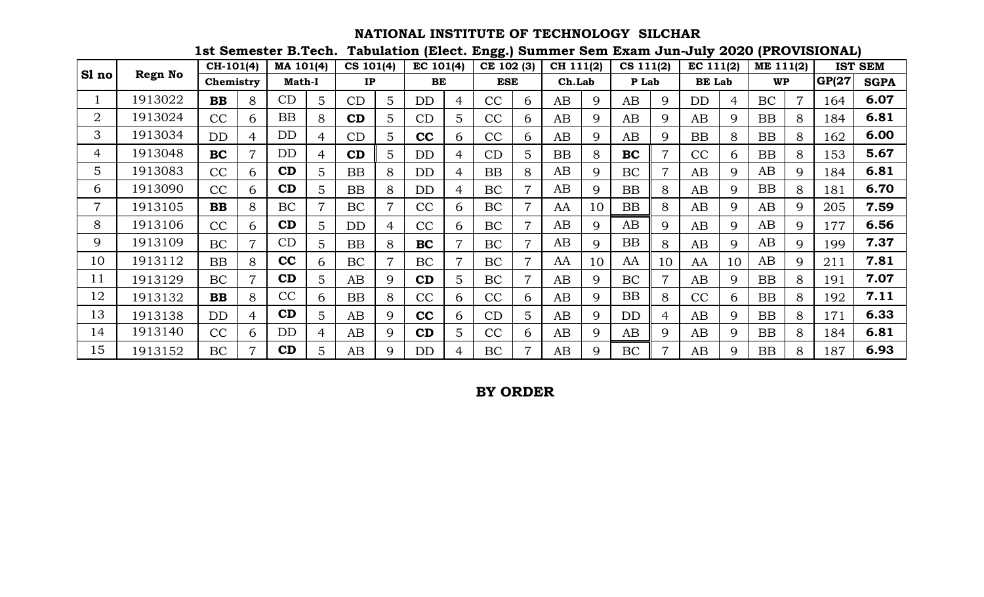# **NATIONAL INSTITUTE OF TECHNOLOGY SILCHAR**

**1st Semester B.Tech. Tabulation (Elect. Engg.) Summer Sem Exam Jun-July 2020 (PROVISIONAL)**

|                |                | $CH-101(4)$ |   | MA 101(4)     |                | CS 101(4) |                 | EC 101(4) |                | CE 102 (3) |                | CH 111(2) |    | $CS$ 111(2) |    | EC 111(2)     |    | ME 111(2) |    | <b>IST</b> | <b>SEM</b>  |
|----------------|----------------|-------------|---|---------------|----------------|-----------|-----------------|-----------|----------------|------------|----------------|-----------|----|-------------|----|---------------|----|-----------|----|------------|-------------|
| Sl no          | <b>Regn No</b> | Chemistry   |   | <b>Math-I</b> |                | IP        |                 | <b>BE</b> |                | <b>ESE</b> |                | Ch.Lab    |    | P Lab       |    | <b>BE Lab</b> |    | <b>WP</b> |    | GP(27      | <b>SGPA</b> |
|                | 1913022        | <b>BB</b>   | 8 | CD            | 5              | CD        | 5               | DD        | $\overline{4}$ | CC         | 6              | AB        | 9  | AB          | 9  | <b>DD</b>     | 4  | <b>BC</b> | 7  | 64         | 6.07        |
| $\overline{2}$ | 1913024        | CC          | 6 | <b>BB</b>     | 8              | CD        | 5               | CD        | 5              | CC         | 6              | AB        | 9  | AB          | 9  | AB            | 9  | <b>BB</b> | 8  | .84        | 6.81        |
| 3              | 1913034        | <b>DD</b>   | 4 | DD            | $\overline{4}$ | CD        | $5\overline{)}$ | cc        | 6              | CC         | 6              | AB        | 9  | AB          | 9  | <b>BB</b>     | 8  | <b>BB</b> | 8  | 62         | 6.00        |
| 4              | 1913048        | <b>BC</b>   | 7 | DD            | $\overline{4}$ | CD        | 5               | DD        | $\overline{4}$ | CD         | 5              | BB        | 8  | BC          |    | CC            | 6  | <b>BB</b> | 8  | 53         | 5.67        |
| 5              | 1913083        | CC          | 6 | CD            | 5              | BB        | 8               | DD        | $\overline{4}$ | <b>BB</b>  | 8              | AB        | Q  | BC          | 7  | AB            | 9  | AB        | 9  | 84         | 6.81        |
| 6              | 1913090        | CC          | 6 | CD            | 5              | <b>BB</b> | 8               | DD        | $\overline{4}$ | BC         | $\overline{7}$ | AB        | 9  | <b>BB</b>   | 8  | AB            | 9  | BB        | 8  | 81         | 6.70        |
| 7              | 1913105        | <b>BB</b>   | 8 | BC            | $\overline{7}$ | <b>BC</b> | $\overline{7}$  | CC        | 6              | BC         | $\overline{7}$ | AA        | 10 | <b>BB</b>   | 8  | AB            | 9  | AB        | 9  | 205        | 7.59        |
| 8              | 1913106        | CC          | 6 | CD            | 5              | <b>DD</b> | 4               | CC        | 6              | <b>BC</b>  |                | AB        | Q  | AB          | 9  | AB            | 9  | AB        | 9  | .77        | 6.56        |
| 9              | 1913109        | <b>BC</b>   | 7 | CD            | 5              | BB        | 8               | <b>BC</b> |                | BC         |                | AB        | Q. | BB          | 8  | AB            | 9  | AB        | Q. | 199        | 7.37        |
| 10             | 1913112        | <b>BB</b>   | 8 | cc            | 6              | <b>BC</b> | $\overline{7}$  | <b>BC</b> | $\overline{7}$ | BC         | $\overline{7}$ | AA        | 10 | AA          | 10 | AA            | 10 | AB        | 9  | 211        | 7.81        |
| 11             | 1913129        | <b>BC</b>   | 7 | CD            | 5              | AB        | 9               | CD        | 5              | BC         | $\overline{7}$ | AB        | 9  | <b>BC</b>   |    | AB            | 9  | <b>BB</b> | 8  | 191        | 7.07        |
| 12             | 1913132        | <b>BB</b>   | 8 | CC            | 6              | <b>BB</b> | 8               | CC        | 6              | CC         | 6              | AB        | Q  | BB          | 8  | CC            | 6  | BB        | 8  | 92         | 7.11        |
| 13             | 1913138        | <b>DD</b>   | 4 | CD            | 5              | AB        | 9               | cc        | 6              | CD         | 5              | AB        | Q. | DD          | 4  | AB            | 9  | BB        | 8  | 171        | 6.33        |
| 14             | 1913140        | CC          | 6 | DD            | 4              | AB        | 9               | CD        | 5              | CC         | 6              | AB        | 9  | AB          | 9  | AB            | 9  | BB        | 8  | 184        | 6.81        |
| 15             | 1913152        | <b>BC</b>   |   | CD            | 5              | AB        | 9               | DD        | $\overline{4}$ | BC         | 7              | AB        | Q  | BC          |    | AB            | 9  | <b>BB</b> | 8  | .87        | 6.93        |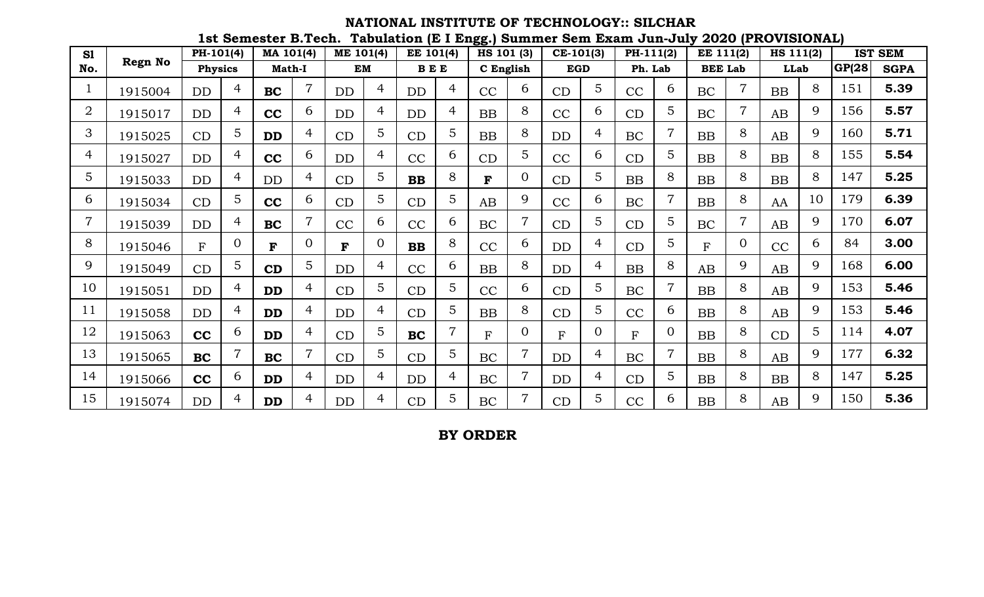## **1st Semester B.Tech. Tabulation (E I Engg.) Summer Sem Exam Jun-July 2020 (PROVISIONAL) NATIONAL INSTITUTE OF TECHNOLOGY:: SILCHAR**

| S1             |                | PH-101(4)      |                | MA 101(4)     |                | ME 101(4) |                | EE 101(4)    |                | HS 101 (3)   |                | $CE-101(3)$ |                | PH-111(2) |                 | EE 111(2)      |                | HS 111(2)   |    |        | <b>IST SEM</b> |
|----------------|----------------|----------------|----------------|---------------|----------------|-----------|----------------|--------------|----------------|--------------|----------------|-------------|----------------|-----------|-----------------|----------------|----------------|-------------|----|--------|----------------|
| No.            | <b>Regn No</b> | <b>Physics</b> |                | <b>Math-I</b> |                | <b>EM</b> |                | <b>BEE</b>   |                | C English    |                | <b>EGD</b>  |                | Ph. Lab   |                 | <b>BEE Lab</b> |                | <b>LLab</b> |    | GP(28) | <b>SGPA</b>    |
|                | 1915004        | DD             | $\overline{4}$ | <b>BC</b>     | $\overline{7}$ | DD        | 4              | DD           | 4              | CC           | 6              | CD          | 5              | CC        | 6               | <b>BC</b>      | $\overline{7}$ | BB          | 8  | 151    | 5.39           |
| $\overline{2}$ | 1915017        | DD             | 4              | cc            | 6              | <b>DD</b> | 4              | DD           | 4              | BB           | 8              | CC          | 6              | CD        | $5\overline{)}$ | <b>BC</b>      | $\overline{7}$ | AB          | 9  | 156    | 5.57           |
| 3              | 1915025        | CD             | 5 <sup>1</sup> | <b>DD</b>     | $\overline{4}$ | CD        | 5              | CD           | 5              | BB           | 8              | DD          | $\overline{4}$ | <b>BC</b> | $\overline{7}$  | <b>BB</b>      | 8              | AB          | 9  | 160    | 5.71           |
| 4              | 1915027        | <b>DD</b>      | 4              | cc            | 6              | <b>DD</b> | 4              | CC           | 6              | CD           | 5              | CC          | 6              | CD        | 5               | <b>BB</b>      | 8              | <b>BB</b>   | 8  | 155    | 5.54           |
| 5              | 1915033        | <b>DD</b>      | 4              | <b>DD</b>     | 4              | CD        | 5              | <b>BB</b>    | 8              | F            | $\Omega$       | CD          | 5              | <b>BB</b> | 8               | <b>BB</b>      | 8              | BB          | 8  | 147    | 5.25           |
| 6              | 1915034        | CD             | 5              | cc            | 6              | CD        | 5              | CD           | 5              | AB           | 9              | CC          | 6              | <b>BC</b> | $\overline{7}$  | <b>BB</b>      | 8              | AA          | 10 | 179    | 6.39           |
| 7              | 1915039        | <b>DD</b>      | 4              | <b>BC</b>     |                | CC        | 6              | CC           | 6              | <b>BC</b>    |                | CD          | 5              | CD        | 5               | <b>BC</b>      | $\overline{7}$ | AB          | 9  | 170    | 6.07           |
| 8              | 1915046        | F              | $\Omega$       | F             | $\Omega$       | F         | $\Omega$       | $\mathbf{B}$ | 8              | CC           | 6              | <b>DD</b>   | 4              | CD        | 5               | F              | $\Omega$       | CC          | 6  | 84     | 3.00           |
| 9              | 1915049        | CD             | 5 <sup>5</sup> | CD            | 5              | <b>DD</b> | 4              | CC           | 6              | BB           | 8              | DD          | 4              | BB        | 8               | AB             | 9              | AB          | 9  | 168    | 6.00           |
| 10             | 1915051        | <b>DD</b>      | 4              | <b>DD</b>     | 4              | CD        | 5              | CD           | 5              | CC           | 6              | CD          | 5              | <b>BC</b> | $\overline{7}$  | <b>BB</b>      | 8              | AB          | 9  | 153    | 5.46           |
| 11             | 1915058        | <b>DD</b>      | 4              | <b>DD</b>     | 4              | DD        | 4              | CD           | 5              | BB           | 8              | CD          | 5              | CC        | 6               | <b>BB</b>      | 8              | AB          | 9  | 153    | 5.46           |
| 12             | 1915063        | cc             | 6              | <b>DD</b>     | 4              | CD        | 5              | <b>BC</b>    | $\overline{7}$ | $\mathbf{F}$ | $\Omega$       | $F_{\rm}$   | $\overline{0}$ | F         | $\Omega$        | <b>BB</b>      | 8              | CD          | 5  | 114    | 4.07           |
| 13             | 1915065        | BC             |                | <b>BC</b>     | 7              | CD        | 5              | CD           | 5              | <b>BC</b>    |                | <b>DD</b>   | 4              | <b>BC</b> | $\overline{7}$  | <b>BB</b>      | 8              | AB          | 9  | 177    | 6.32           |
| 14             | 1915066        | cc             | 6              | <b>DD</b>     | 4              | <b>DD</b> | 4              | DD           | 4              | <b>BC</b>    | $\overline{7}$ | <b>DD</b>   | 4              | CD        | 5               | <b>BB</b>      | 8              | <b>BB</b>   | 8  | 147    | 5.25           |
| 15             | 1915074        | <b>DD</b>      | 4              | <b>DD</b>     | 4              | DD        | $\overline{4}$ | CD           | 5              | <b>BC</b>    |                | CD          | 5              | CC        | 6               | <b>BB</b>      | 8              | AB          | 9  | 150    | 5.36           |